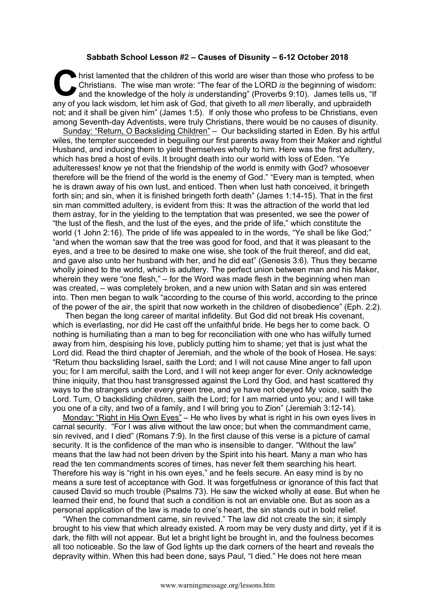## **Sabbath School Lesson #2 – Causes of Disunity – 6-12 October 2018**

hrist lamented that the children of this world are wiser than those who profess to be Christians. The wise man wrote: "The fear of the LORD *is* the beginning of wisdom: and the knowledge of the holy *is* understanding" (Proverbs 9:10). James tells us, "If any of you lack wisdom, let him ask of God, that giveth to all *men* liberally, and upbraideth any of you lack wisdom, let him ask of God, that giveth to all *men* liberally, and upbraideth not; and it shall be given him" (James 1:5). If only those who profess to be Christians, even among Seventh-day Adventists, were truly Christians, there would be no causes of disunity.

Sunday: "Return, O Backsliding Children" - Our backsliding started in Eden. By his artful wiles, the tempter succeeded in beguiling our first parents away from their Maker and rightful Husband, and inducing them to yield themselves wholly to him. Here was the first adultery, which has bred a host of evils. It brought death into our world with loss of Eden. "Ye adulteresses! know ye not that the friendship of the world is enmity with God? whosoever therefore will be the friend of the world is the enemy of God." "Every man is tempted, when he is drawn away of his own lust, and enticed. Then when lust hath conceived, it bringeth forth sin; and sin, when it is finished bringeth forth death" (James 1:14-15). That in the first sin man committed adultery, is evident from this: It was the attraction of the world that led them astray, for in the yielding to the temptation that was presented, we see the power of "the lust of the flesh, and the lust of the eyes, and the pride of life," which constitute the world (1 John 2:16). The pride of life was appealed to in the words, "Ye shall be like God;" "and when the woman saw that the tree was good for food, and that it was pleasant to the eyes, and a tree to be desired to make one wise, she took of the fruit thereof, and did eat, and gave also unto her husband with her, and he did eat" (Genesis 3:6). Thus they became wholly joined to the world, which is adultery. The perfect union between man and his Maker, wherein they were "one flesh," – for the Word was made flesh in the beginning when man was created, – was completely broken, and a new union with Satan and sin was entered into. Then men began to walk "according to the course of this world, according to the prince of the power of the air, the spirit that now worketh in the children of disobedience" (Eph. 2:2).

Then began the long career of marital infidelity. But God did not break His covenant, which is everlasting, nor did He cast off the unfaithful bride. He begs her to come back. O nothing is humiliating than a man to beg for reconciliation with one who has wilfully turned away from him, despising his love, publicly putting him to shame; yet that is just what the Lord did. Read the third chapter of Jeremiah, and the whole of the book of Hosea. He says: "Return thou backsliding Israel, saith the Lord; and I will not cause Mine anger to fall upon you; for I am merciful, saith the Lord, and I will not keep anger for ever. Only acknowledge thine iniquity, that thou hast transgressed against the Lord thy God, and hast scattered thy ways to the strangers under every green tree, and ye have not obeyed My voice, saith the Lord. Turn, O backsliding children, saith the Lord; for I am married unto you; and I will take you one of a city, and two of a family, and I will bring you to Zion" (Jeremiah 3:12-14).

Monday: "Right in His Own Eyes" - He who lives by what is right in his own eyes lives in carnal security. "For I was alive without the law once; but when the commandment came, sin revived, and I died" (Romans 7:9). In the first clause of this verse is a picture of carnal security. It is the confidence of the man who is insensible to danger. "Without the law" means that the law had not been driven by the Spirit into his heart. Many a man who has read the ten commandments scores of times, has never felt them searching his heart. Therefore his way is "right in his own eyes," and he feels secure. An easy mind is by no means a sure test of acceptance with God. It was forgetfulness or ignorance of this fact that caused David so much trouble (Psalms 73). He saw the wicked wholly at ease. But when he learned their end, he found that such a condition is not an enviable one. But as soon as a personal application of the law is made to one's heart, the sin stands out in bold relief.

"When the commandment came, sin revived." The law did not create the sin; it simply brought to his view that which already existed. A room may be very dusty and dirty, yet if it is dark, the filth will not appear. But let a bright light be brought in, and the foulness becomes all too noticeable. So the law of God lights up the dark corners of the heart and reveals the depravity within. When this had been done, says Paul, "I died." He does not here mean